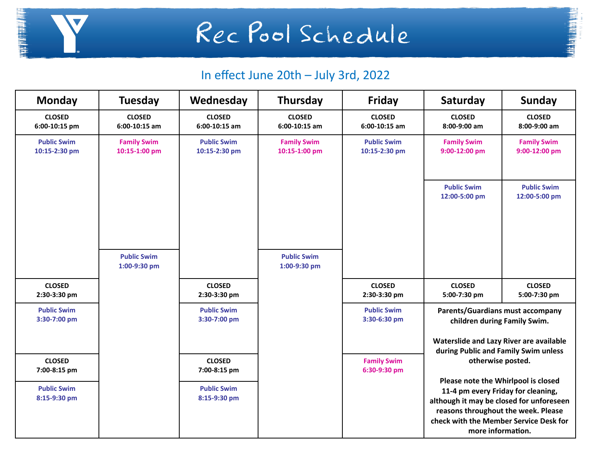

Rec Pool Schedule

## **BE AFTER ATTACK**

## In effect June 20th – July 3rd, 2022

| <b>Monday</b>                       | <b>Tuesday</b>                      | Wednesday                           | Thursday                            | Friday                              | Saturday                                                                                                                                                                                                                                                                                                                                                                                                       | <b>Sunday</b>                       |
|-------------------------------------|-------------------------------------|-------------------------------------|-------------------------------------|-------------------------------------|----------------------------------------------------------------------------------------------------------------------------------------------------------------------------------------------------------------------------------------------------------------------------------------------------------------------------------------------------------------------------------------------------------------|-------------------------------------|
| <b>CLOSED</b><br>6:00-10:15 pm      | <b>CLOSED</b><br>$6:00-10:15$ am    | <b>CLOSED</b><br>$6:00-10:15$ am    | <b>CLOSED</b><br>6:00-10:15 am      | <b>CLOSED</b><br>$6:00-10:15$ am    | <b>CLOSED</b><br>8:00-9:00 am                                                                                                                                                                                                                                                                                                                                                                                  | <b>CLOSED</b><br>8:00-9:00 am       |
| <b>Public Swim</b><br>10:15-2:30 pm | <b>Family Swim</b><br>10:15-1:00 pm | <b>Public Swim</b><br>10:15-2:30 pm | <b>Family Swim</b><br>10:15-1:00 pm | <b>Public Swim</b><br>10:15-2:30 pm | <b>Family Swim</b><br>9:00-12:00 pm                                                                                                                                                                                                                                                                                                                                                                            | <b>Family Swim</b><br>9:00-12:00 pm |
|                                     |                                     |                                     |                                     |                                     | <b>Public Swim</b><br>12:00-5:00 pm                                                                                                                                                                                                                                                                                                                                                                            | <b>Public Swim</b><br>12:00-5:00 pm |
|                                     | <b>Public Swim</b><br>1:00-9:30 pm  |                                     | <b>Public Swim</b><br>1:00-9:30 pm  |                                     |                                                                                                                                                                                                                                                                                                                                                                                                                |                                     |
| <b>CLOSED</b><br>2:30-3:30 pm       |                                     | <b>CLOSED</b><br>2:30-3:30 pm       |                                     | <b>CLOSED</b><br>2:30-3:30 pm       | <b>CLOSED</b><br>5:00-7:30 pm                                                                                                                                                                                                                                                                                                                                                                                  | <b>CLOSED</b><br>5:00-7:30 pm       |
| <b>Public Swim</b><br>3:30-7:00 pm  |                                     | <b>Public Swim</b><br>3:30-7:00 pm  |                                     | <b>Public Swim</b><br>3:30-6:30 pm  | <b>Parents/Guardians must accompany</b><br>children during Family Swim.<br>Waterslide and Lazy River are available<br>during Public and Family Swim unless<br>otherwise posted.<br>Please note the Whirlpool is closed<br>11-4 pm every Friday for cleaning,<br>although it may be closed for unforeseen<br>reasons throughout the week. Please<br>check with the Member Service Desk for<br>more information. |                                     |
|                                     |                                     |                                     |                                     |                                     |                                                                                                                                                                                                                                                                                                                                                                                                                |                                     |
| <b>CLOSED</b><br>7:00-8:15 pm       |                                     | <b>CLOSED</b><br>7:00-8:15 pm       |                                     | <b>Family Swim</b><br>6:30-9:30 pm  |                                                                                                                                                                                                                                                                                                                                                                                                                |                                     |
| <b>Public Swim</b><br>8:15-9:30 pm  |                                     | <b>Public Swim</b><br>8:15-9:30 pm  |                                     |                                     |                                                                                                                                                                                                                                                                                                                                                                                                                |                                     |